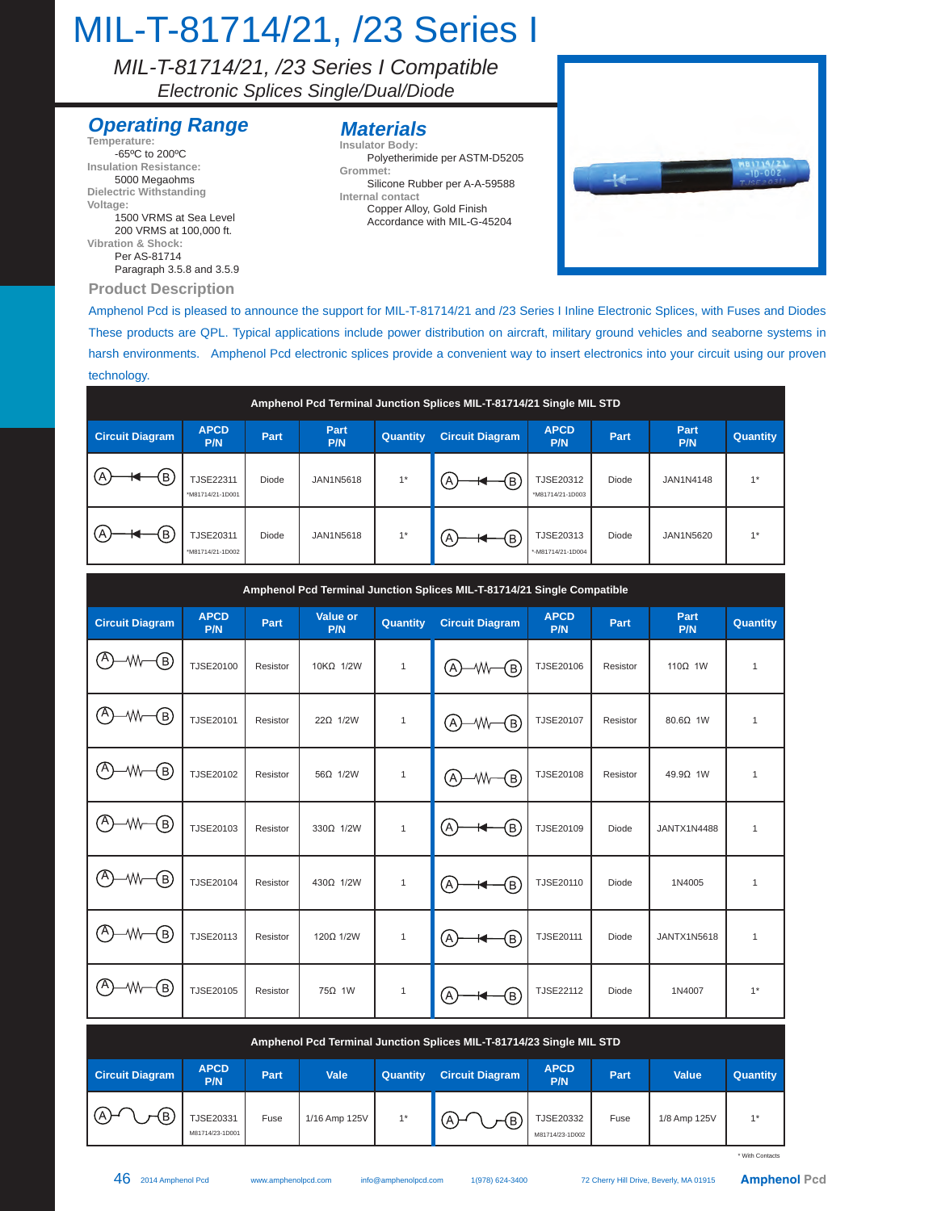### MIL-T-81714/21, /23 Series I

*MIL-T-81714/21, /23 Series I Compatible Electronic Splices Single/Dual/Diode* 

#### **Operating Range**

**Product Description Temperature:** -65ºC to 200ºC **Insulation Resistance:** 5000 Megaohms **Dielectric Withstanding Voltage:** 1500 VRMS at Sea Level 200 VRMS at 100,000 ft. **Vibration & Shock:** Per AS-81714 Paragraph 3.5.8 and 3.5.9

#### **Materials**

**Insulator Body:** Polyetherimide per ASTM-D5205 **Grommet:**

Silicone Rubber per A-A-59588 **Internal contact** Copper Alloy, Gold Finish

Accordance with MIL-G-45204



Amphenol Pcd is pleased to announce the support for MIL-T-81714/21 and /23 Series I Inline Electronic Splices, with Fuses and Diodes These products are QPL. Typical applications include power distribution on aircraft, military ground vehicles and seaborne systems in harsh environments. Amphenol Pcd electronic splices provide a convenient way to insert electronics into your circuit using our proven technology.

| Amphenol Pcd Terminal Junction Splices MIL-T-81714/21 Single MIL STD |                                      |       |             |          |                        |                                      |       |             |                 |  |
|----------------------------------------------------------------------|--------------------------------------|-------|-------------|----------|------------------------|--------------------------------------|-------|-------------|-----------------|--|
| <b>Circuit Diagram</b>                                               | <b>APCD</b><br>P/N                   | Part  | Part<br>P/N | Quantity | <b>Circuit Diagram</b> | <b>APCD</b><br>P/N                   | Part  | Part<br>P/N | <b>Quantity</b> |  |
| $\widehat{\mathsf{B}}$                                               | <b>TJSE22311</b><br>*M81714/21-1D001 | Diode | JAN1N5618   | $1*$     | B                      | <b>TJSE20312</b><br>*M81714/21-1D003 | Diode | JAN1N4148   | $4*$            |  |
| Έ                                                                    | <b>TJSE20311</b><br>*M81714/21-1D002 | Diode | JAN1N5618   | $1*$     | $\overline{B}$         | TJSE20313<br>*-M81714/21-1D004       | Diode | JAN1N5620   | $4*$            |  |

| Amphenol Pcd Terminal Junction Splices MIL-T-81714/21 Single Compatible |                    |             |                 |              |                        |                    |          |                    |              |  |  |
|-------------------------------------------------------------------------|--------------------|-------------|-----------------|--------------|------------------------|--------------------|----------|--------------------|--------------|--|--|
| <b>Circuit Diagram</b>                                                  | <b>APCD</b><br>P/N | <b>Part</b> | Value or<br>P/N | Quantity     | <b>Circuit Diagram</b> | <b>APCD</b><br>P/N | Part     | Part<br>P/N        | Quantity     |  |  |
| 'A`<br>(в)                                                              | TJSE20100          | Resistor    | 10KΩ 1/2W       | $\mathbf{1}$ | A<br>(в)<br>₩          | TJSE20106          | Resistor | 110 $\Omega$ 1W    | $\mathbf{1}$ |  |  |
| (A)<br>(в)<br>٨M                                                        | TJSE20101          | Resistor    | $22\Omega$ 1/2W | $\mathbf{1}$ | (A)<br>₩<br>{в)        | <b>TJSE20107</b>   | Resistor | 80.6Ω 1W           | $\mathbf{1}$ |  |  |
| A)<br>(в)<br>₩                                                          | TJSE20102          | Resistor    | 56Ω 1/2W        | $\mathbf{1}$ | $\Delta$<br>₩<br>(в)   | <b>TJSE20108</b>   | Resistor | $49.9\Omega$ 1W    | $\mathbf{1}$ |  |  |
| (A)<br>(в)<br>٨W                                                        | TJSE20103          | Resistor    | 330Ω 1/2W       | $\mathbf{1}$ | (A<br>(B)              | TJSE20109          | Diode    | <b>JANTX1N4488</b> | $\mathbf{1}$ |  |  |
| ٬A<br>(в)<br>w                                                          | TJSE20104          | Resistor    | 430Ω 1/2W       | $\mathbf{1}$ | (A<br>(B)              | TJSE20110          | Diode    | 1N4005             | $\mathbf{1}$ |  |  |
| ٬A<br>(в)                                                               | TJSE20113          | Resistor    | 1200 1/2W       | $\mathbf{1}$ | (B)<br>(A              | TJSE20111          | Diode    | JANTX1N5618        | $\mathbf{1}$ |  |  |
| 'A`<br>(в)                                                              | TJSE20105          | Resistor    | 75Ω 1W          | $\mathbf{1}$ | (A<br>(Β)              | TJSE22112          | Diode    | 1N4007             | $1^*$        |  |  |

| Amphenol Pcd Terminal Junction Splices MIL-T-81714/23 Single MIL STD |                              |      |               |                 |                        |                              |      |              |                 |  |
|----------------------------------------------------------------------|------------------------------|------|---------------|-----------------|------------------------|------------------------------|------|--------------|-----------------|--|
| <b>Circuit Diagram</b>                                               | <b>APCD</b><br>P/N           | Part | Vale          | <b>Quantity</b> | <b>Circuit Diagram</b> | <b>APCD</b><br>P/N           | Part | <b>Value</b> | <b>Quantity</b> |  |
| ſБ<br>$\mathsf{L}(\mathsf{A})$<br>۱Þ,                                | TJSE20331<br>M81714/23-1D001 | Fuse | 1/16 Amp 125V | $1*$            | (B                     | TJSE20332<br>M81714/23-1D002 | Fuse | 1/8 Amp 125V | $4*$            |  |

\* With Contacts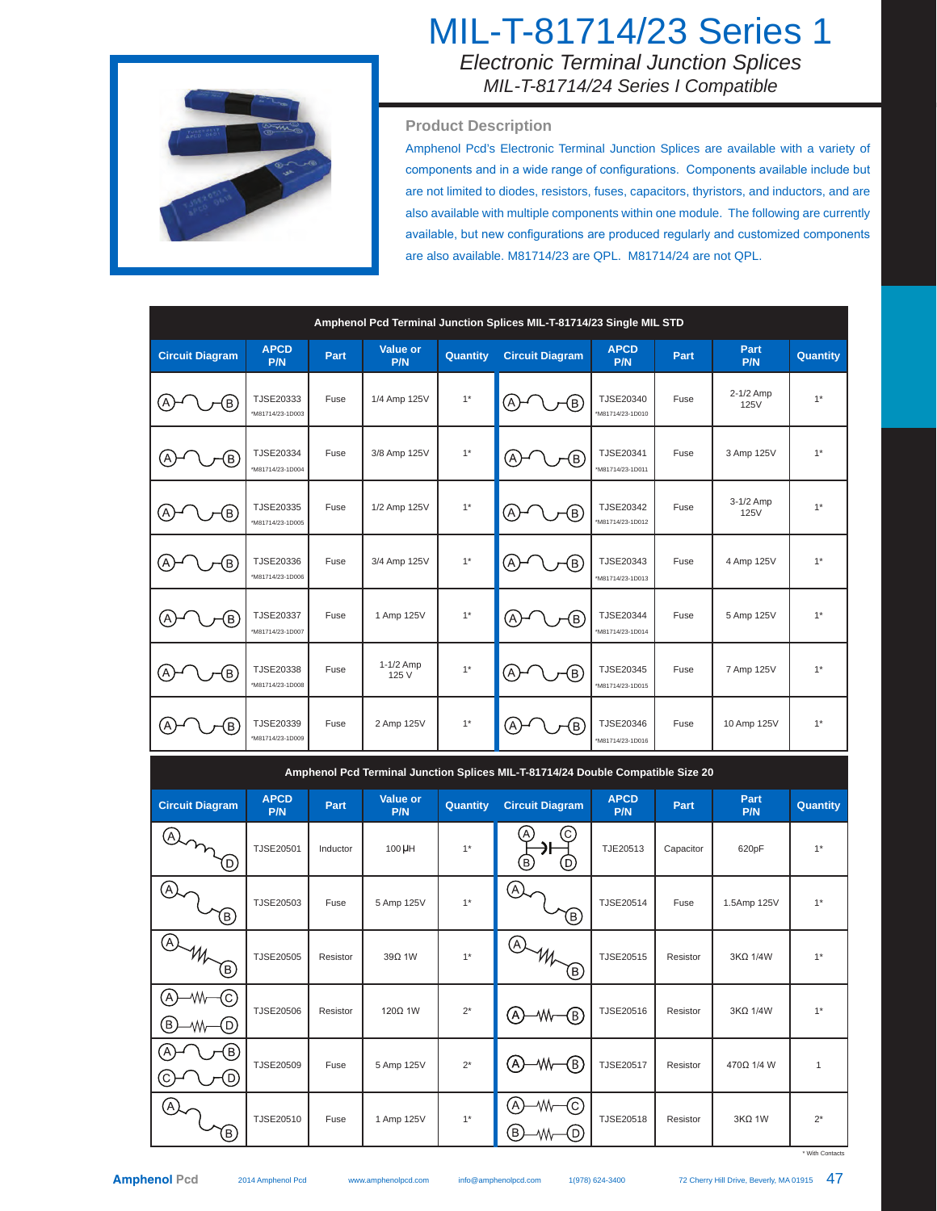

### MIL-T-81714/23 Series 1 *Electronic Terminal Junction Splices MIL-T-81714/24 Series I Compatible*

#### **Product Description**

Amphenol Pcd's Electronic Terminal Junction Splices are available with a variety of components and in a wide range of configurations. Components available include but are not limited to diodes, resistors, fuses, capacitors, thyristors, and inductors, and are also available with multiple components within one module. The following are currently available, but new configurations are produced regularly and customized components are also available. M81714/23 are QPL. M81714/24 are not QPL.

| Amphenol Pcd Terminal Junction Splices MIL-T-81714/23 Single MIL STD |                               |          |                    |          |                                                                                 |                                      |           |                          |          |  |  |
|----------------------------------------------------------------------|-------------------------------|----------|--------------------|----------|---------------------------------------------------------------------------------|--------------------------------------|-----------|--------------------------|----------|--|--|
| <b>Circuit Diagram</b>                                               | <b>APCD</b><br>P/N            | Part     | Value or<br>P/N    | Quantity | <b>Circuit Diagram</b>                                                          | <b>APCD</b><br>P/N                   | Part      | Part<br>P/N              | Quantity |  |  |
| $\left[ \mathsf{B}\right]$                                           | TJSE20333<br>*M81714/23-1D003 | Fuse     | 1/4 Amp 125V       | $1^*$    | $\left[ \mathsf{B}\right]$                                                      | TJSE20340<br>*M81714/23-1D010        | Fuse      | 2-1/2 Amp<br><b>125V</b> | $1^*$    |  |  |
| $\overline{B}$                                                       | TJSE20334<br>*M81714/23-1D004 | Fuse     | 3/8 Amp 125V       | $1^*$    | $\overline{B}$<br>Α                                                             | TJSE20341<br>*M81714/23-1D011        | Fuse      | 3 Amp 125V               | $1*$     |  |  |
| $\left[ \mathsf{B}\right]$<br>Α                                      | TJSE20335<br>*M81714/23-1D005 | Fuse     | 1/2 Amp 125V       | $1*$     | ΈB)<br>Α                                                                        | <b>TJSE20342</b><br>*M81714/23-1D012 | Fuse      | 3-1/2 Amp<br>125V        | $1*$     |  |  |
| A<br>$\mathsf{B}$                                                    | TJSE20336<br>*M81714/23-1D006 | Fuse     | 3/4 Amp 125V       | $1*$     | Α<br>ΈB.                                                                        | TJSE20343<br>*M81714/23-1D013        | Fuse      | 4 Amp 125V               | $1*$     |  |  |
| B                                                                    | TJSE20337<br>*M81714/23-1D007 | Fuse     | 1 Amp 125V         | $1*$     | $\left[ \begin{matrix} 1 \end{matrix} \right]$<br>Ά                             | <b>TJSE20344</b><br>*M81714/23-1D014 | Fuse      | 5 Amp 125V               | $1*$     |  |  |
| $\left( \mathsf{B}\right)$                                           | TJSE20338<br>*M81714/23-1D008 | Fuse     | 1-1/2 Amp<br>125 V | $1*$     | ίв)<br>Α                                                                        | <b>TJSE20345</b><br>*M81714/23-1D015 | Fuse      | 7 Amp 125V               | $1*$     |  |  |
| B                                                                    | TJSE20339<br>*M81714/23-1D009 | Fuse     | 2 Amp 125V         | $1*$     | Έ,<br>Ά                                                                         | TJSE20346<br>*M81714/23-1D016        | Fuse      | 10 Amp 125V              | $1*$     |  |  |
|                                                                      |                               |          |                    |          | Amphenol Pcd Terminal Junction Splices MIL-T-81714/24 Double Compatible Size 20 |                                      |           |                          |          |  |  |
| <b>Circuit Diagram</b>                                               | <b>APCD</b><br>P/N            | Part     | Value or<br>P/N    | Quantity | <b>Circuit Diagram</b>                                                          | <b>APCD</b><br>P/N                   | Part      | Part<br>P/N              | Quantity |  |  |
| Ά<br>D.                                                              | TJSE20501                     | Inductor | 100 µH             | $1^*$    | Β<br>D.                                                                         | TJE20513                             | Capacitor | 620pF                    | $1*$     |  |  |
| Ά                                                                    | TJSE20503                     | Fuse     | 5 Amp 125V         | $1*$     | [A]                                                                             | TJSE20514                            | Fuse      | 1.5Amp 125V              | $1*$     |  |  |

| ⊛<br>(в)                                                     | TJSE20503        | Fuse     | 5 Amp 125V | $1*$  | $\alpha$<br>℗                                 | TJSE20514 | Fuse     | 1.5Amp 125V     | $1^*$        |
|--------------------------------------------------------------|------------------|----------|------------|-------|-----------------------------------------------|-----------|----------|-----------------|--------------|
| $\bigcirc$<br>$\mathscr{W}_{\mathcal{P}}$<br>佰               | TJSE20505        | Resistor | 39Q 1W     | $1*$  | (A)<br>m<br>B)                                | TJSE20515 | Resistor | 3KΩ 1/4W        | $1^*$        |
| $\left[{\mathbf{C}}\right]$<br>WV<br>$\circledR$<br>D)<br>W۷ | <b>TJSE20506</b> | Resistor | 120Ω 1W    | $2^*$ | ®)<br>₩<br>(A)                                | TJSE20516 | Resistor | $3K\Omega$ 1/4W | $1^*$        |
| <br>ίВ)<br><u>ලි-</u><br>−⊙                                  | TJSE20509        | Fuse     | 5 Amp 125V | $2^*$ | ®)<br><b>W-</b><br>$\left( \mathsf{A}\right)$ | TJSE20517 | Resistor | 470Ω 1/4 W      | $\mathbf{1}$ |
| A)<br>(B)                                                    | TJSE20510        | Fuse     | 1 Amp 125V | $1*$  | 'A`<br>(c)<br>₩<br>(B)<br>(D)                 | TJSE20518 | Resistor | $3K\Omega$ 1W   | $2^*$        |

\* With Contact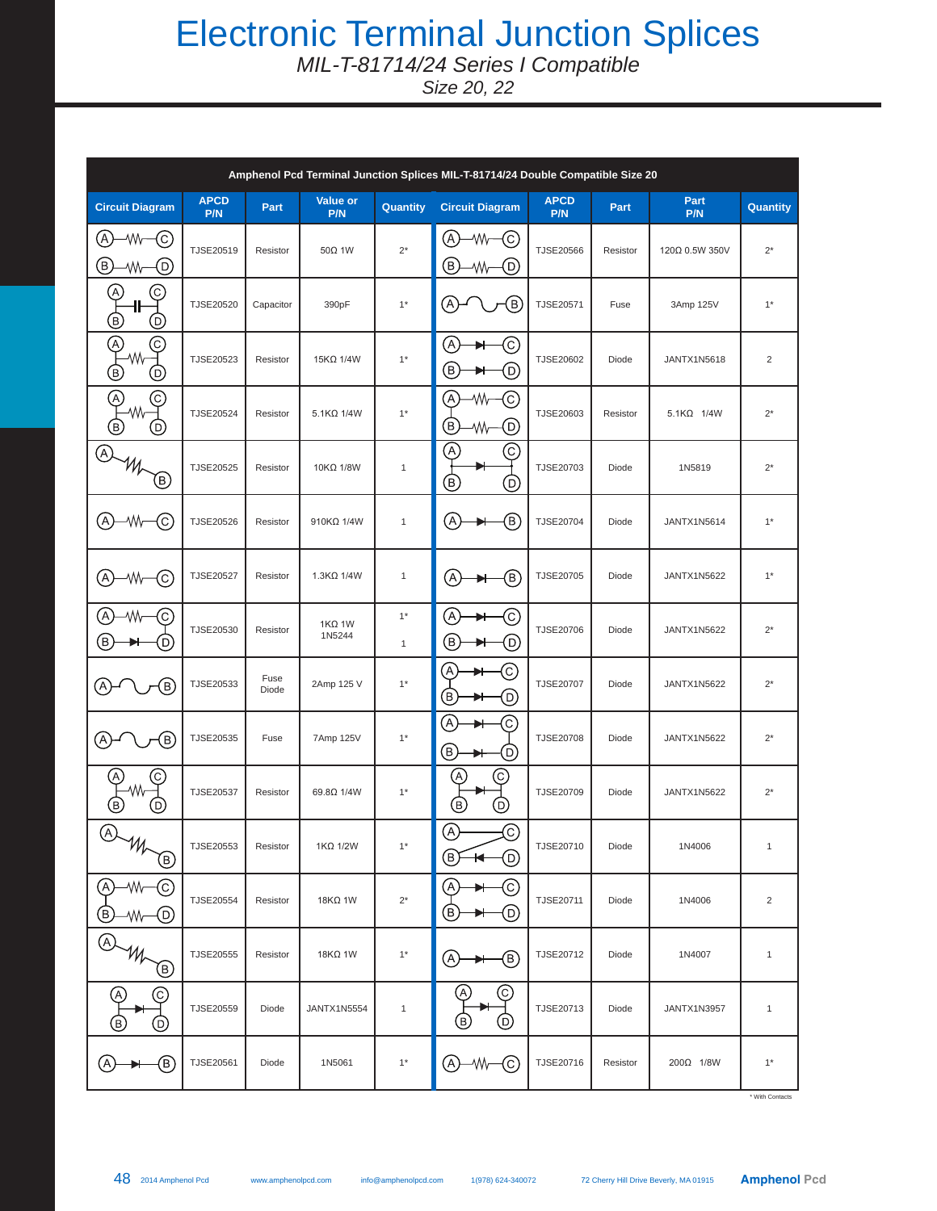## Electronic Terminal Junction Splices

*MIL-T-81714/24 Series I Compatible*

*Size 20, 22*

| Amphenol Pcd Terminal Junction Splices MIL-T-81714/24 Double Compatible Size 20 |                    |               |                         |                      |                                                                  |                    |          |                    |                |  |
|---------------------------------------------------------------------------------|--------------------|---------------|-------------------------|----------------------|------------------------------------------------------------------|--------------------|----------|--------------------|----------------|--|
| <b>Circuit Diagram</b>                                                          | <b>APCD</b><br>P/N | Part          | Value or<br>P/N         | Quantity             | <b>Circuit Diagram</b>                                           | <b>APCD</b><br>P/N | Part     | Part<br>P/N        | Quantity       |  |
| $\left[ \right]$<br>٨W<br>(C)<br>Β)<br>D)<br>٨W                                 | TJSE20519          | Resistor      | 50Ω 1W                  | $2^*$                | (A)<br>۸M<br>(c)<br>(B)<br>(D)<br>٨W                             | TJSE20566          | Resistor | 120Ω 0.5W 350V     | $2^*$          |  |
| $\left( \mathrm{A}\right)$<br>C.<br>ᅊ<br>℗                                      | TJSE20520          | Capacitor     | 390pF                   | $1*$                 | (A)<br>(B)                                                       | TJSE20571          | Fuse     | 3Amp 125V          | $1*$           |  |
| A,<br>C.<br>٨W<br>(B)<br>D.                                                     | TJSE20523          | Resistor      | 15KΩ 1/4W               | $1^*$                | (A)<br>O)<br>(B)<br>(D)                                          | TJSE20602          | Diode    | JANTX1N5618        | $\overline{2}$ |  |
| ତ<br>A)<br>W۸<br>(B)<br>D                                                       | TJSE20524          | Resistor      | 5.1KQ 1/4W              | $1*$                 | A)<br>C)<br>٨W<br>$\bigcirc$<br>(D)<br>₩                         | TJSE20603          | Resistor | 5.1KΩ 1/4W         | $2^*$          |  |
| (A)<br>Θ)                                                                       | TJSE20525          | Resistor      | 10KΩ 1/8W               | $\mathbf{1}$         | A)<br>(C)<br>®<br>O)                                             | TJSE20703          | Diode    | 1N5819             | $2^*$          |  |
| (A)<br>(C)<br>٧W                                                                | TJSE20526          | Resistor      | 910KΩ 1/4W              | $\mathbf{1}$         | ®)<br>(A)                                                        | TJSE20704          | Diode    | JANTX1N5614        | $1*$           |  |
| (A)<br>۰W<br>C)                                                                 | <b>TJSE20527</b>   | Resistor      | $1.3K\Omega$ 1/4W       | $\mathbf{1}$         | A)<br>(B)                                                        | TJSE20705          | Diode    | <b>JANTX1N5622</b> | $1*$           |  |
| Α<br>٨W<br>(C)<br>B.<br>D,                                                      | TJSE20530          | Resistor      | $1K\Omega$ 1W<br>1N5244 | $1*$<br>$\mathbf{1}$ | (A)<br>(C)<br>(B)<br>O)                                          | TJSE20706          | Diode    | JANTX1N5622        | $2^*$          |  |
| $\left( \mathsf{B}\right)$<br>(A                                                | TJSE20533          | Fuse<br>Diode | 2Amp 125 V              | $1*$                 | A<br>C)<br>B)<br>₪                                               | <b>TJSE20707</b>   | Diode    | JANTX1N5622        | $2^*$          |  |
| $\left( \mathsf{B}\right)$<br>P,                                                | TJSE20535          | Fuse          | 7Amp 125V               | $1*$                 | A)<br>C,<br>®<br>D)                                              | TJSE20708          | Diode    | <b>JANTX1N5622</b> | $2^*$          |  |
| C<br>$\overline{B}$<br>D                                                        | <b>TJSE20537</b>   | Resistor      | 69.80 1/4W              | $1^*$                | $\left[ \begin{matrix} A \end{matrix} \right]$<br>C<br>B)<br>(D) | TJSE20709          | Diode    | <b>JANTX1N5622</b> | $2^*$          |  |
| A)<br>$\mathcal{W}_{\mathcal{P}}$<br>叵                                          | TJSE20553          | Resistor      | $1K\Omega$ 1/2W         | $1^*$                | A,<br>ල)<br>⊚<br>(B)<br>$\overline{\phantom{a}}$                 | TJSE20710          | Diode    | 1N4006             | $\mathbf{1}$   |  |
| A)<br>₩<br>C<br>(D)<br>E<br>₩                                                   | TJSE20554          | Resistor      | 18KΩ 1W                 | $2^*$                | O<br>(A)<br>Θ)<br>⊙<br>▸                                         | TJSE20711          | Diode    | 1N4006             | $\overline{c}$ |  |
| Œ<br>Œ)                                                                         | TJSE20555          | Resistor      | 18KΩ 1W                 | $1*$                 | (B)<br>ίΑ,                                                       | TJSE20712          | Diode    | 1N4007             | 1              |  |
| (C)<br>$\left( \mathsf{A}\right)$<br>(D)<br>ίB,                                 | TJSE20559          | Diode         | JANTX1N5554             | $\mathbf{1}$         | (c)<br>A,<br>(B)<br>(D)                                          | TJSE20713          | Diode    | JANTX1N3957        | 1              |  |
| ®)<br>A                                                                         | TJSE20561          | Diode         | 1N5061                  | $1*$                 | (c)<br>(A)<br>٨W                                                 | TJSE20716          | Resistor | 200Ω 1/8W          | $1^*$          |  |

\* With Contacts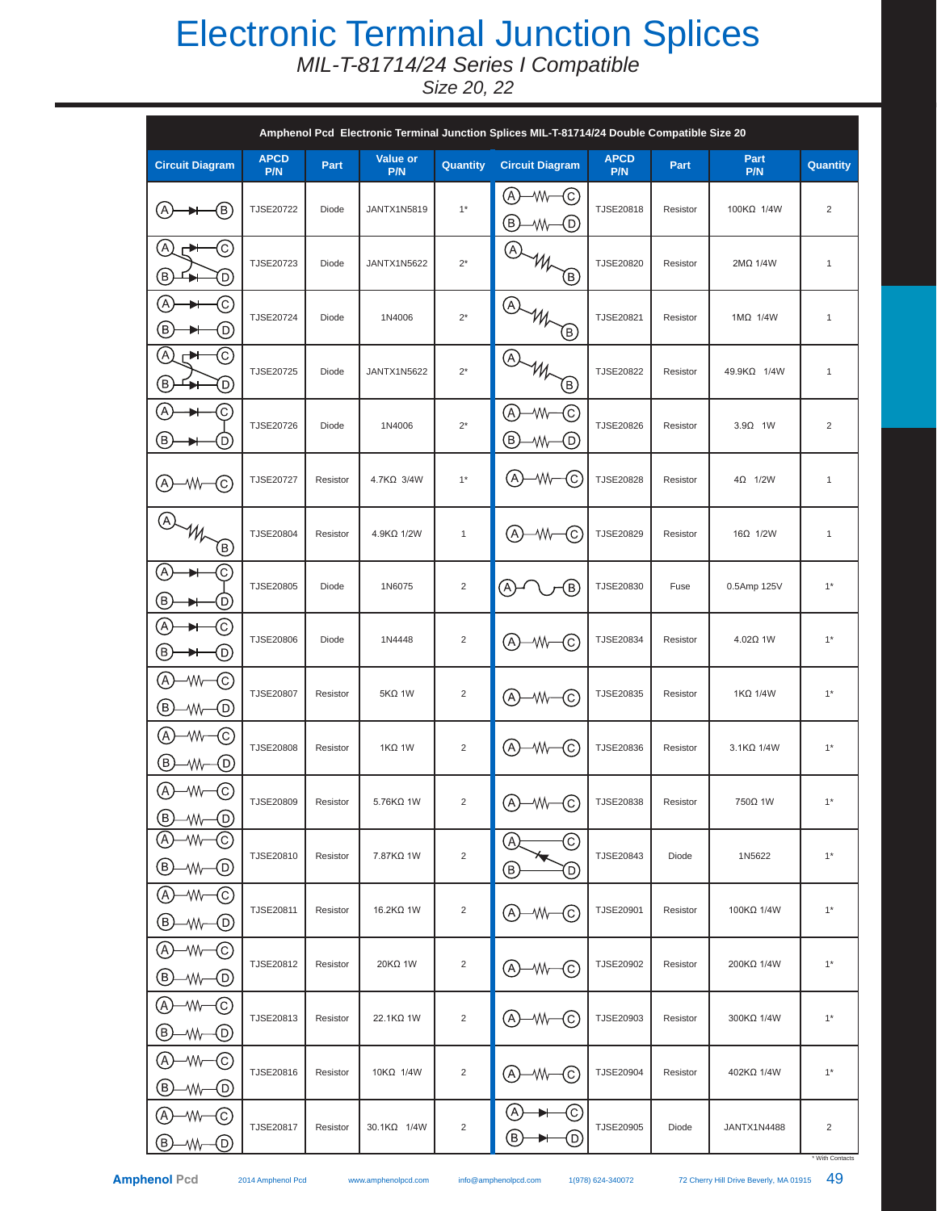## Electronic Terminal Junction Splices

*MIL-T-81714/24 Series I Compatible*

*Size 20, 22*

|                                                                                                               | Amphenol Pcd Electronic Terminal Junction Splices MIL-T-81714/24 Double Compatible Size 20 |          |                    |                |                                    |                    |          |                 |                |  |  |  |
|---------------------------------------------------------------------------------------------------------------|--------------------------------------------------------------------------------------------|----------|--------------------|----------------|------------------------------------|--------------------|----------|-----------------|----------------|--|--|--|
| <b>Circuit Diagram</b>                                                                                        | <b>APCD</b><br>P/N                                                                         | Part     | Value or<br>P/N    | Quantity       | <b>Circuit Diagram</b>             | <b>APCD</b><br>P/N | Part     | Part<br>P/N     | Quantity       |  |  |  |
| A)<br>(B)                                                                                                     | TJSE20722                                                                                  | Diode    | <b>JANTX1N5819</b> | $1*$           | (A)<br>₩<br>-(c)<br>(B)<br>O)<br>₩ | TJSE20818          | Resistor | 100KΩ 1/4W      | $\overline{2}$ |  |  |  |
| E<br>C<br>┍┻┽<br>T<br>D)                                                                                      | TJSE20723                                                                                  | Diode    | JANTX1N5622        | $2^*$          | A,<br>$W_{\mathcal{F}}$<br>(B)     | TJSE20820          | Resistor | 2ΜΩ 1/4W        | $\mathbf{1}$   |  |  |  |
| Œ<br>C<br>B.<br>O                                                                                             | TJSE20724                                                                                  | Diode    | 1N4006             | $2^\star$      | $\left( \mathsf{A}\right)$<br>(в)  | TJSE20821          | Resistor | $1M\Omega$ 1/4W | $\mathbf{1}$   |  |  |  |
| A<br>C<br>┍┻┽<br>B)<br>D)                                                                                     | TJSE20725                                                                                  | Diode    | <b>JANTX1N5622</b> | $2^*$          | (A)<br>®                           | TJSE20822          | Resistor | 49.9KΩ 1/4W     | $\mathbf{1}$   |  |  |  |
| $\left( \begin{matrix} \mathbb{A} \end{matrix} \right)$<br>C)<br>$\large\textcircled{\small\texttt{B}}$<br>D) | TJSE20726                                                                                  | Diode    | 1N4006             | $2^*$          | (A)<br>C)<br>٨W<br>(B)<br>D)<br>٨W | TJSE20826          | Resistor | $3.9\Omega$ 1W  | 2              |  |  |  |
| A)<br>(c)<br>-Wv                                                                                              | TJSE20727                                                                                  | Resistor | 4.7KΩ 3/4W         | $1*$           | A)<br>C)<br>۸W                     | <b>TJSE20828</b>   | Resistor | $4\Omega$ 1/2W  | $\mathbf{1}$   |  |  |  |
| $\left( \mathsf{A}\right)$<br>$\overline{\Theta}$                                                             | TJSE20804                                                                                  | Resistor | 4.9KΩ 1/2W         | $\mathbf{1}$   | A)<br>-Wh-<br>(C)                  | TJSE20829          | Resistor | 16Ω 1/2W        | $\mathbf{1}$   |  |  |  |
| $\left[ \begin{matrix} \mathsf{A} \end{matrix} \right]$<br>C)<br>€<br>D)                                      | TJSE20805                                                                                  | Diode    | 1N6075             | $\sqrt{2}$     | B)<br>A)                           | TJSE20830          | Fuse     | 0.5Amp 125V     | $1*$           |  |  |  |
| A<br>(c)<br>Β)<br>O                                                                                           | <b>TJSE20806</b>                                                                           | Diode    | 1N4448             | $\sqrt{2}$     | (A)<br>(c)<br>₩                    | TJSE20834          | Resistor | 4.02Ω 1W        | $1*$           |  |  |  |
| A<br>٨W<br>(c)<br>B)<br>$^\copyright$<br>٨W                                                                   | <b>TJSE20807</b>                                                                           | Resistor | $5K\Omega$ 1W      | $\sqrt{2}$     | (A)<br>(c)<br>₩                    | TJSE20835          | Resistor | $1K\Omega$ 1/4W | $1*$           |  |  |  |
| A<br>(c)<br>٨W<br>®<br>O)<br>٨W                                                                               | <b>TJSE20808</b>                                                                           | Resistor | $1K\Omega$ 1W      | $\overline{2}$ | (A)<br>$\left( $<br>₩              | TJSE20836          | Resistor | 3.1KQ 1/4W      | $1^*$          |  |  |  |
| $\circledA$<br>-Wv<br>C<br>(B)<br>(D)<br>₩                                                                    | <b>TJSE20809</b>                                                                           | Resistor | 5.76KQ 1W          | $\sqrt{2}$     | $\bigcirc$ – W – $\bigcirc$        | TJSE20838          | Resistor | 750Ω 1W         | $1*$           |  |  |  |
| $\left( \mathsf{A}\right)$<br>٨W<br>(c)<br>(В)<br>(D)<br>₩−                                                   | TJSE20810                                                                                  | Resistor | 7.87KΩ 1W          | $\overline{2}$ | $_{\mathbb{C}}$<br>(A)<br>◉<br>⊙   | TJSE20843          | Diode    | 1N5622          | $1^*$          |  |  |  |
| (A)<br>(c)<br>₩<br>Ε,<br>-(D)<br>₩                                                                            | TJSE20811                                                                                  | Resistor | 16.2KΩ 1W          | $\overline{c}$ | (A)—Wh—<br>(c)                     | TJSE20901          | Resistor | 100KΩ 1/4W      | $1^*$          |  |  |  |
| (A)<br>-WV<br>(c)<br>Έ,<br>-WN-(D)                                                                            | TJSE20812                                                                                  | Resistor | 20KΩ 1W            | $\overline{c}$ | (C)<br>⊕—w—                        | TJSE20902          | Resistor | 200KΩ 1/4W      | $1^{\star}$    |  |  |  |
| A)<br>₩<br>(c)<br>(B)<br>(D)<br>₩                                                                             | TJSE20813                                                                                  | Resistor | 22.1KΩ 1W          | $\overline{c}$ | (c)<br>—∕W—<br>(A)-                | TJSE20903          | Resistor | 300KΩ 1/4W      | $1^*$          |  |  |  |
| $\left( \mathrm{A}\right)$<br>-Wh-<br>(c)<br>(B)<br>~W—(D)                                                    | TJSE20816                                                                                  | Resistor | 10KΩ 1/4W          | $\overline{c}$ | (c)<br>(A)<br>–∕W—                 | TJSE20904          | Resistor | 402KΩ 1/4W      | $1^{\star}$    |  |  |  |
| C<br>A<br>Έ,<br>(D)<br>₩∼                                                                                     | TJSE20817                                                                                  | Resistor | 30.1KΩ 1/4W        | $\overline{c}$ | Α<br>C)<br>D)<br>B                 | TJSE20905          | Diode    | JANTX1N4488     | $\overline{2}$ |  |  |  |